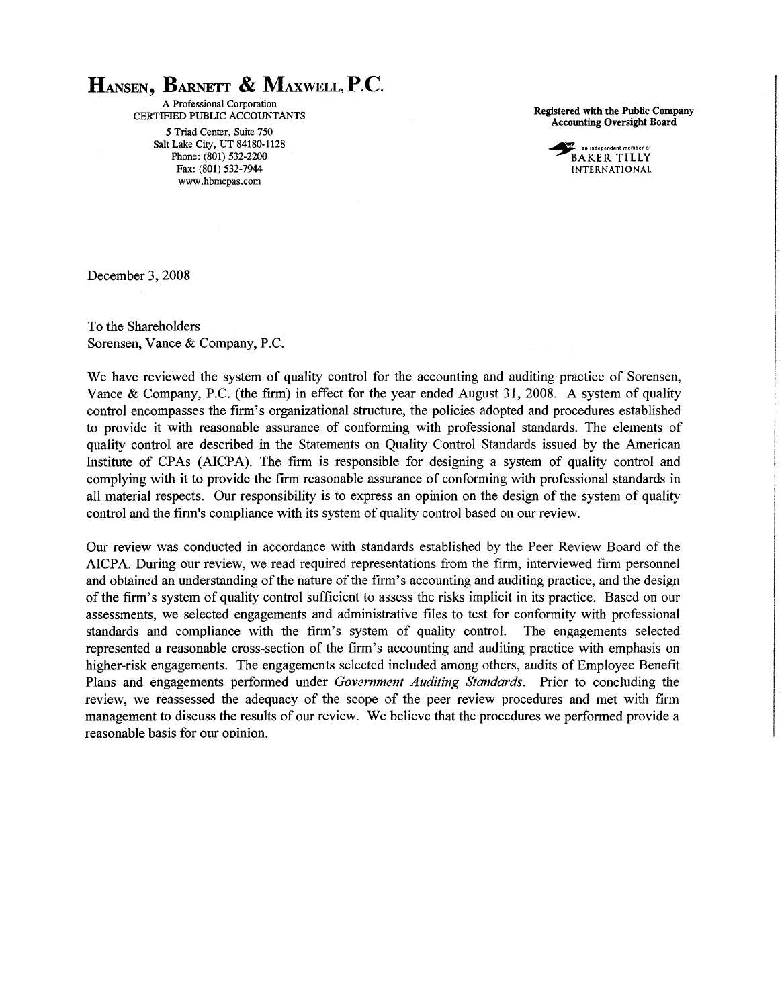## **HANSEN, BARNETT & MAXWELL,P.C.**

A Professional Corporation CERTIFIED PUBLIC ACCOUNTANTS 5 Triad Center, Suite 750 Salt Lake City, UT 84180-1128 Phone: (801) 532-2200 Fax: (801) 532-7944 www.hbmcpas.com

Registered with the Public Company Accounting Oversight Board

la de la componenta de la componenta de la componenta de la componenta de la componenta de la componenta de la

 $\begin{array}{c} \begin{array}{c} \begin{array}{c} \begin{array}{c} \end{array} \\ \begin{array}{c} \end{array} \end{array} \end{array} \end{array}$ 

**an** independent member of BAKER TILLY INTERNATIONAL

December 3, 2008

To the Shareholders Sorensen, Vance & Company, P.C.

We have reviewed the system of quality control for the accounting and auditing practice of Sorensen, Vance & Company, P.C. (the firm) in effect for the year ended August 31, 2008. A system of quality control encompasses the firm's organizational structure, the policies adopted and procedures established to provide it with reasonable assurance of conforming with professional standards. The elements of quality control are described in the Statements on Quality Control Standards issued by the American Institute of CPAs (AlCPA). The firm is responsible for designing a system of quality control and complying with it to provide the firm reasonable assurance of conforming with professional standards in all material respects. Our responsibility is to express an opinion on the design of the system of quality control and the firm's compliance with its system of quality control based on our review.

Our review was conducted in accordance with standards established by the Peer Review Board of the AICPA. During our review, we read required representations from the firm, interviewed firm personnel and obtained an understanding of the nature of the firm's accounting and auditing practice, and the design of the firm's system of quality control sufficient to assess the risks implicit in its practice. Based on our assessments, we selected engagements and administrative files to test for conformity with professional standards and compliance with the firm's system of quality control. The engagements selected represented a reasonable cross-section of the firm's accounting and auditing practice with emphasis on higher-risk engagements. The engagements selected included among others, audits of Employee Benefit Plans and engagements performed under *Government Auditing Standards.* Prior to concluding the review, we reassessed the adequacy of the scope of the peer review procedures and met with firm management to discuss the results of our review. We believe that the procedures we performed provide a reasonable basis for our ooinion.